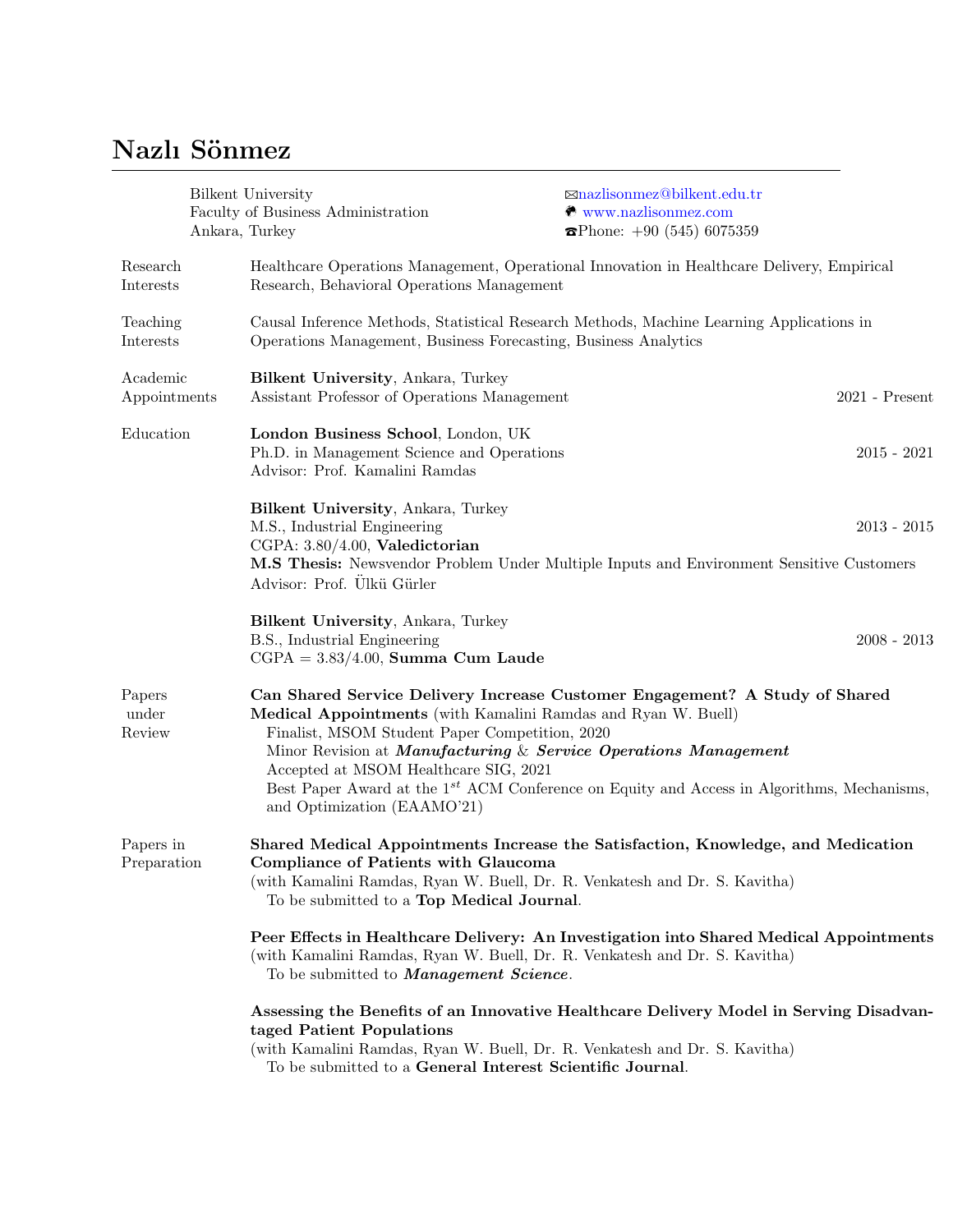## Nazlı Sönmez

|                           | Ankara, Turkey | Bilkent University<br>Faculty of Business Administration                                                                                                                                                                                                   | ⊠nazlisonmez@bilkent.edu.tr<br>$\otimes$ www.nazlisonmez.com<br>$\mathbf{\Omega}$ Phone: +90 (545) 6075359                                                                            |                  |  |
|---------------------------|----------------|------------------------------------------------------------------------------------------------------------------------------------------------------------------------------------------------------------------------------------------------------------|---------------------------------------------------------------------------------------------------------------------------------------------------------------------------------------|------------------|--|
| Research<br>Interests     |                | Healthcare Operations Management, Operational Innovation in Healthcare Delivery, Empirical<br>Research, Behavioral Operations Management                                                                                                                   |                                                                                                                                                                                       |                  |  |
| Teaching<br>Interests     |                | Causal Inference Methods, Statistical Research Methods, Machine Learning Applications in<br>Operations Management, Business Forecasting, Business Analytics                                                                                                |                                                                                                                                                                                       |                  |  |
| Academic<br>Appointments  |                | Bilkent University, Ankara, Turkey<br>Assistant Professor of Operations Management                                                                                                                                                                         |                                                                                                                                                                                       | $2021$ - Present |  |
| Education                 |                | London Business School, London, UK<br>Ph.D. in Management Science and Operations<br>Advisor: Prof. Kamalini Ramdas                                                                                                                                         |                                                                                                                                                                                       | $2015 - 2021$    |  |
|                           |                | Bilkent University, Ankara, Turkey<br>M.S., Industrial Engineering<br>CGPA: 3.80/4.00, Valedictorian<br>Advisor: Prof. Ülkü Gürler                                                                                                                         | M.S Thesis: Newsvendor Problem Under Multiple Inputs and Environment Sensitive Customers                                                                                              | $2013 - 2015$    |  |
|                           |                | Bilkent University, Ankara, Turkey<br>B.S., Industrial Engineering<br>$CGPA = 3.83/4.00$ , Summa Cum Laude                                                                                                                                                 |                                                                                                                                                                                       | $2008 - 2013$    |  |
| Papers<br>under<br>Review |                | Medical Appointments (with Kamalini Ramdas and Ryan W. Buell)<br>Finalist, MSOM Student Paper Competition, 2020<br>Minor Revision at Manufacturing & Service Operations Management<br>Accepted at MSOM Healthcare SIG, 2021<br>and Optimization (EAAMO'21) | Can Shared Service Delivery Increase Customer Engagement? A Study of Shared<br>Best Paper Award at the 1 <sup>st</sup> ACM Conference on Equity and Access in Algorithms, Mechanisms, |                  |  |
| Papers in<br>Preparation  |                | <b>Compliance of Patients with Glaucoma</b><br>(with Kamalini Ramdas, Ryan W. Buell, Dr. R. Venkatesh and Dr. S. Kavitha)<br>To be submitted to a Top Medical Journal.                                                                                     | Shared Medical Appointments Increase the Satisfaction, Knowledge, and Medication                                                                                                      |                  |  |
|                           |                | Peer Effects in Healthcare Delivery: An Investigation into Shared Medical Appointments<br>(with Kamalini Ramdas, Ryan W. Buell, Dr. R. Venkatesh and Dr. S. Kavitha)<br>To be submitted to <i>Management Science</i> .                                     |                                                                                                                                                                                       |                  |  |
|                           |                | taged Patient Populations<br>(with Kamalini Ramdas, Ryan W. Buell, Dr. R. Venkatesh and Dr. S. Kavitha)<br>To be submitted to a General Interest Scientific Journal.                                                                                       | Assessing the Benefits of an Innovative Healthcare Delivery Model in Serving Disadvan-                                                                                                |                  |  |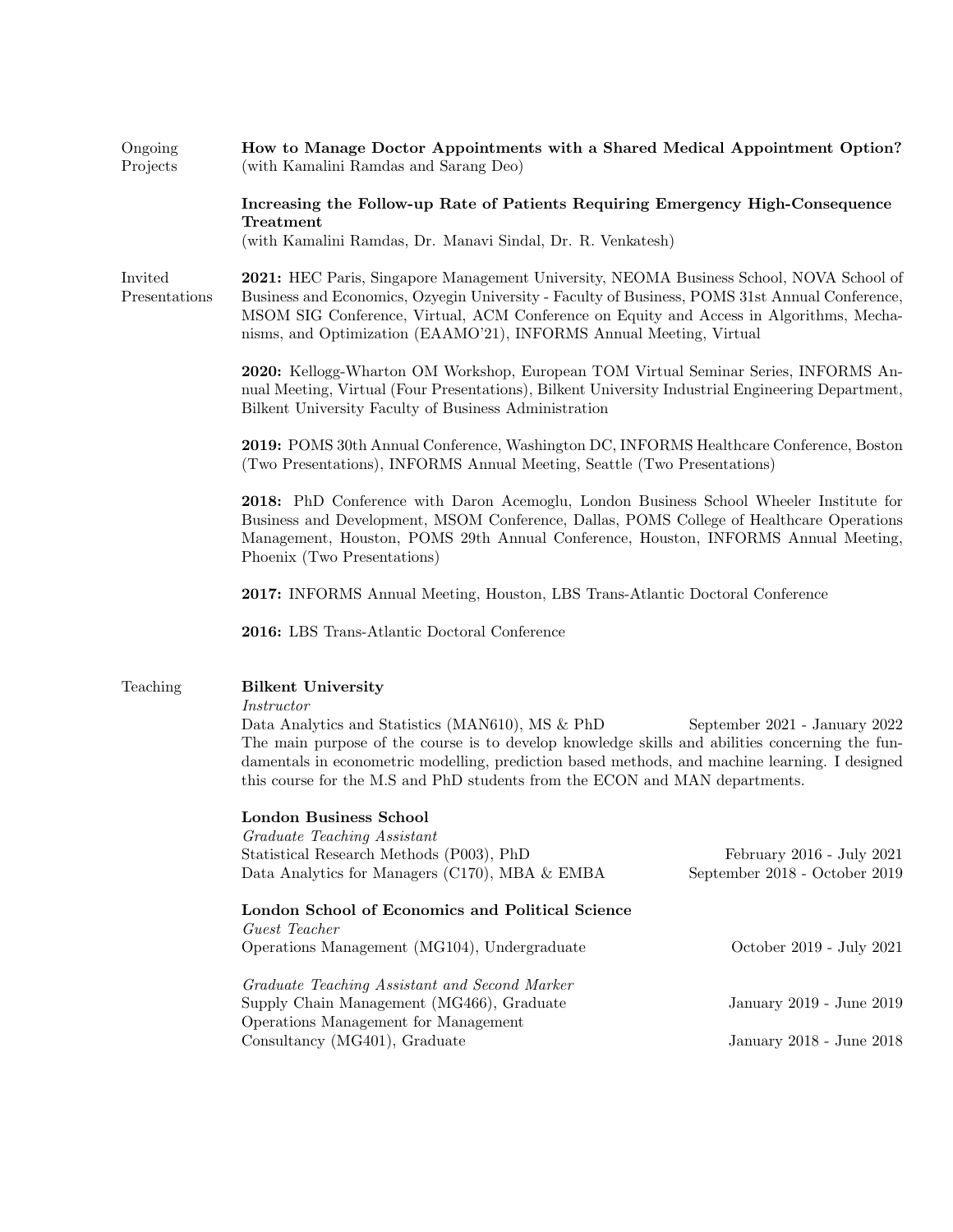| Ongoing<br>Projects      | How to Manage Doctor Appointments with a Shared Medical Appointment Option?<br>(with Kamalini Ramdas and Sarang Deo)                                                                                                                                                                                                                                                                                                    |                                                            |  |  |
|--------------------------|-------------------------------------------------------------------------------------------------------------------------------------------------------------------------------------------------------------------------------------------------------------------------------------------------------------------------------------------------------------------------------------------------------------------------|------------------------------------------------------------|--|--|
|                          | Increasing the Follow-up Rate of Patients Requiring Emergency High-Consequence<br>Treatment                                                                                                                                                                                                                                                                                                                             |                                                            |  |  |
|                          | (with Kamalini Ramdas, Dr. Manavi Sindal, Dr. R. Venkatesh)                                                                                                                                                                                                                                                                                                                                                             |                                                            |  |  |
| Invited<br>Presentations | 2021: HEC Paris, Singapore Management University, NEOMA Business School, NOVA School of<br>Business and Economics, Ozyegin University - Faculty of Business, POMS 31st Annual Conference,<br>MSOM SIG Conference, Virtual, ACM Conference on Equity and Access in Algorithms, Mecha-<br>nisms, and Optimization (EAAMO'21), INFORMS Annual Meeting, Virtual                                                             |                                                            |  |  |
|                          | 2020: Kellogg-Wharton OM Workshop, European TOM Virtual Seminar Series, INFORMS An-<br>nual Meeting, Virtual (Four Presentations), Bilkent University Industrial Engineering Department,<br>Bilkent University Faculty of Business Administration                                                                                                                                                                       |                                                            |  |  |
|                          | 2019: POMS 30th Annual Conference, Washington DC, INFORMS Healthcare Conference, Boston<br>(Two Presentations), INFORMS Annual Meeting, Seattle (Two Presentations)                                                                                                                                                                                                                                                     |                                                            |  |  |
|                          | 2018: PhD Conference with Daron Acemoglu, London Business School Wheeler Institute for<br>Business and Development, MSOM Conference, Dallas, POMS College of Healthcare Operations<br>Management, Houston, POMS 29th Annual Conference, Houston, INFORMS Annual Meeting,<br>Phoenix (Two Presentations)                                                                                                                 |                                                            |  |  |
|                          | 2017: INFORMS Annual Meeting, Houston, LBS Trans-Atlantic Doctoral Conference                                                                                                                                                                                                                                                                                                                                           |                                                            |  |  |
|                          | 2016: LBS Trans-Atlantic Doctoral Conference                                                                                                                                                                                                                                                                                                                                                                            |                                                            |  |  |
| Teaching                 | <b>Bilkent University</b><br><i>Instructor</i><br>Data Analytics and Statistics (MAN610), MS & PhD<br>September 2021 - January 2022<br>The main purpose of the course is to develop knowledge skills and abilities concerning the fun-<br>damentals in econometric modelling, prediction based methods, and machine learning. I designed<br>this course for the M.S and PhD students from the ECON and MAN departments. |                                                            |  |  |
|                          |                                                                                                                                                                                                                                                                                                                                                                                                                         |                                                            |  |  |
|                          | <b>London Business School</b><br>Graduate Teaching Assistant<br>Statistical Research Methods (P003), PhD<br>Data Analytics for Managers (C170), MBA $&$ EMBA                                                                                                                                                                                                                                                            | February 2016 - July 2021<br>September 2018 - October 2019 |  |  |
|                          | London School of Economics and Political Science<br>Guest Teacher<br>Operations Management (MG104), Undergraduate                                                                                                                                                                                                                                                                                                       | October 2019 - July 2021                                   |  |  |
|                          |                                                                                                                                                                                                                                                                                                                                                                                                                         |                                                            |  |  |
|                          | Graduate Teaching Assistant and Second Marker<br>Supply Chain Management (MG466), Graduate<br>Operations Management for Management                                                                                                                                                                                                                                                                                      | January 2019 - June 2019                                   |  |  |
|                          | Consultancy (MG401), Graduate                                                                                                                                                                                                                                                                                                                                                                                           | January 2018 - June 2018                                   |  |  |
|                          |                                                                                                                                                                                                                                                                                                                                                                                                                         |                                                            |  |  |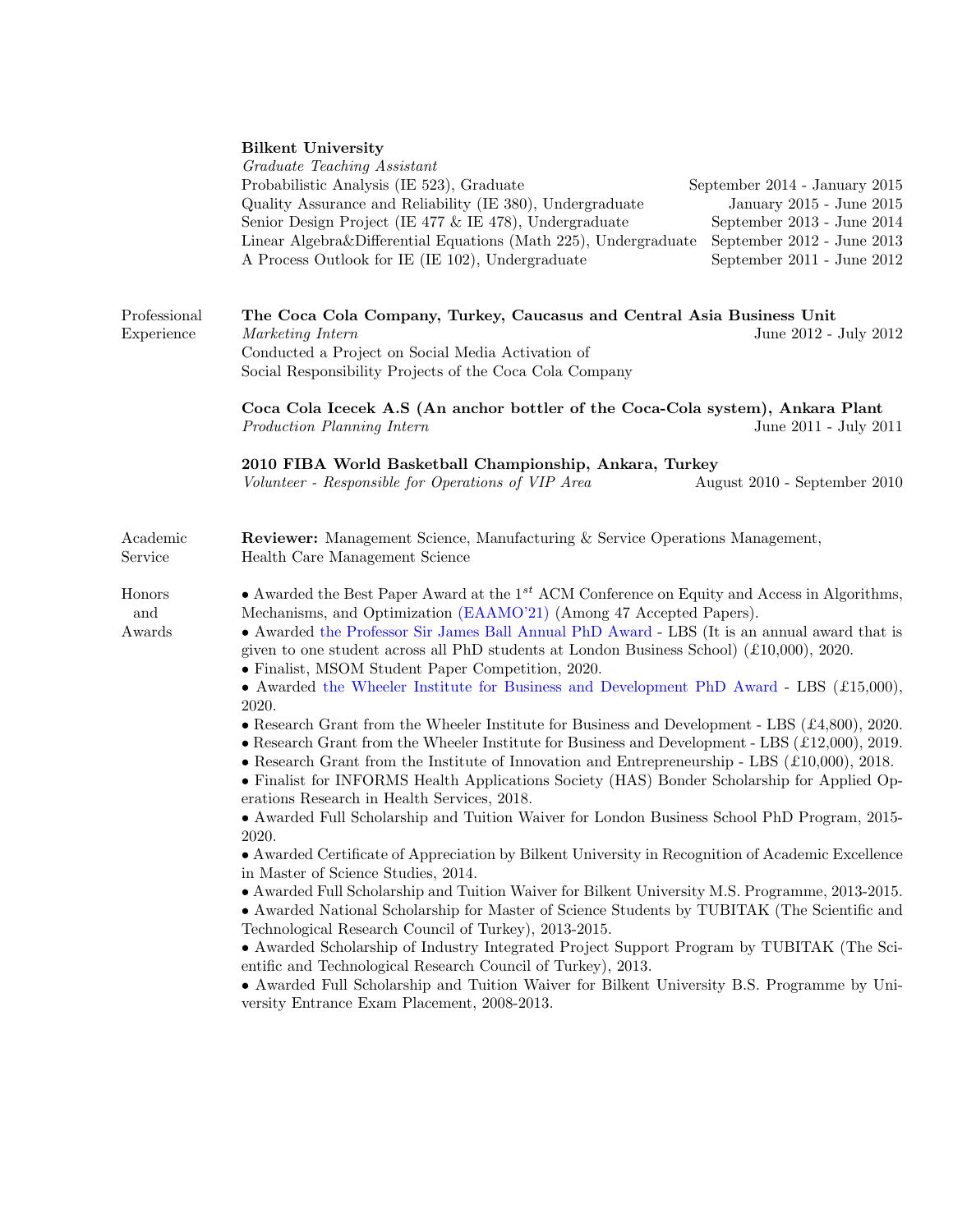## Bilkent University

|                            | Graduate Teaching Assistant<br>Probabilistic Analysis (IE 523), Graduate<br>September 2014 - January 2015<br>Quality Assurance and Reliability (IE 380), Undergraduate<br>January 2015 - June 2015<br>Senior Design Project (IE 477 & IE 478), Undergraduate<br>September 2013 - June 2014<br>Linear Algebra&Differential Equations (Math 225), Undergraduate<br>September 2012 - June 2013<br>A Process Outlook for IE (IE 102), Undergraduate<br>September 2011 - June 2012                                                                                                                                                                                                                                                                                                                                                                                                                                                                                                                                                                                                                                                                                                                                                                                                                                                                                                                                                                                                                                                                                                                                                                                                                                                                                                                                                          |  |  |  |  |
|----------------------------|----------------------------------------------------------------------------------------------------------------------------------------------------------------------------------------------------------------------------------------------------------------------------------------------------------------------------------------------------------------------------------------------------------------------------------------------------------------------------------------------------------------------------------------------------------------------------------------------------------------------------------------------------------------------------------------------------------------------------------------------------------------------------------------------------------------------------------------------------------------------------------------------------------------------------------------------------------------------------------------------------------------------------------------------------------------------------------------------------------------------------------------------------------------------------------------------------------------------------------------------------------------------------------------------------------------------------------------------------------------------------------------------------------------------------------------------------------------------------------------------------------------------------------------------------------------------------------------------------------------------------------------------------------------------------------------------------------------------------------------------------------------------------------------------------------------------------------------|--|--|--|--|
| Professional<br>Experience | The Coca Cola Company, Turkey, Caucasus and Central Asia Business Unit<br>Marketing Intern<br>June 2012 - July 2012<br>Conducted a Project on Social Media Activation of<br>Social Responsibility Projects of the Coca Cola Company                                                                                                                                                                                                                                                                                                                                                                                                                                                                                                                                                                                                                                                                                                                                                                                                                                                                                                                                                                                                                                                                                                                                                                                                                                                                                                                                                                                                                                                                                                                                                                                                    |  |  |  |  |
|                            | Coca Cola Icecek A.S (An anchor bottler of the Coca-Cola system), Ankara Plant<br>Production Planning Intern<br>June 2011 - July 2011                                                                                                                                                                                                                                                                                                                                                                                                                                                                                                                                                                                                                                                                                                                                                                                                                                                                                                                                                                                                                                                                                                                                                                                                                                                                                                                                                                                                                                                                                                                                                                                                                                                                                                  |  |  |  |  |
|                            | 2010 FIBA World Basketball Championship, Ankara, Turkey<br>Volunteer - Responsible for Operations of VIP Area<br>August 2010 - September 2010                                                                                                                                                                                                                                                                                                                                                                                                                                                                                                                                                                                                                                                                                                                                                                                                                                                                                                                                                                                                                                                                                                                                                                                                                                                                                                                                                                                                                                                                                                                                                                                                                                                                                          |  |  |  |  |
| Academic<br>Service        | <b>Reviewer:</b> Management Science, Manufacturing & Service Operations Management,<br>Health Care Management Science                                                                                                                                                                                                                                                                                                                                                                                                                                                                                                                                                                                                                                                                                                                                                                                                                                                                                                                                                                                                                                                                                                                                                                                                                                                                                                                                                                                                                                                                                                                                                                                                                                                                                                                  |  |  |  |  |
| Honors<br>and<br>Awards    | • Awarded the Best Paper Award at the $1^{st}$ ACM Conference on Equity and Access in Algorithms,<br>Mechanisms, and Optimization (EAAMO'21) (Among 47 Accepted Papers).<br>• Awarded the Professor Sir James Ball Annual PhD Award - LBS (It is an annual award that is<br>given to one student across all PhD students at London Business School) $(£10,000)$ , 2020.<br>• Finalist, MSOM Student Paper Competition, 2020.<br>• Awarded the Wheeler Institute for Business and Development PhD Award - LBS $(\pounds15,000)$ ,<br>2020.<br>• Research Grant from the Wheeler Institute for Business and Development - LBS $(\pounds4,800)$ , 2020.<br>• Research Grant from the Wheeler Institute for Business and Development - LBS $(£12,000), 2019.$<br>• Research Grant from the Institute of Innovation and Entrepreneurship - LBS $(£10,000)$ , 2018.<br>• Finalist for INFORMS Health Applications Society (HAS) Bonder Scholarship for Applied Op-<br>erations Research in Health Services, 2018.<br>• Awarded Full Scholarship and Tuition Waiver for London Business School PhD Program, 2015-<br>2020.<br>• Awarded Certificate of Appreciation by Bilkent University in Recognition of Academic Excellence<br>in Master of Science Studies, 2014.<br>• Awarded Full Scholarship and Tuition Waiver for Bilkent University M.S. Programme, 2013-2015.<br>• Awarded National Scholarship for Master of Science Students by TUBITAK (The Scientific and<br>Technological Research Council of Turkey), 2013-2015.<br>• Awarded Scholarship of Industry Integrated Project Support Program by TUBITAK (The Sci-<br>entific and Technological Research Council of Turkey), 2013.<br>• Awarded Full Scholarship and Tuition Waiver for Bilkent University B.S. Programme by Uni-<br>versity Entrance Exam Placement, 2008-2013. |  |  |  |  |